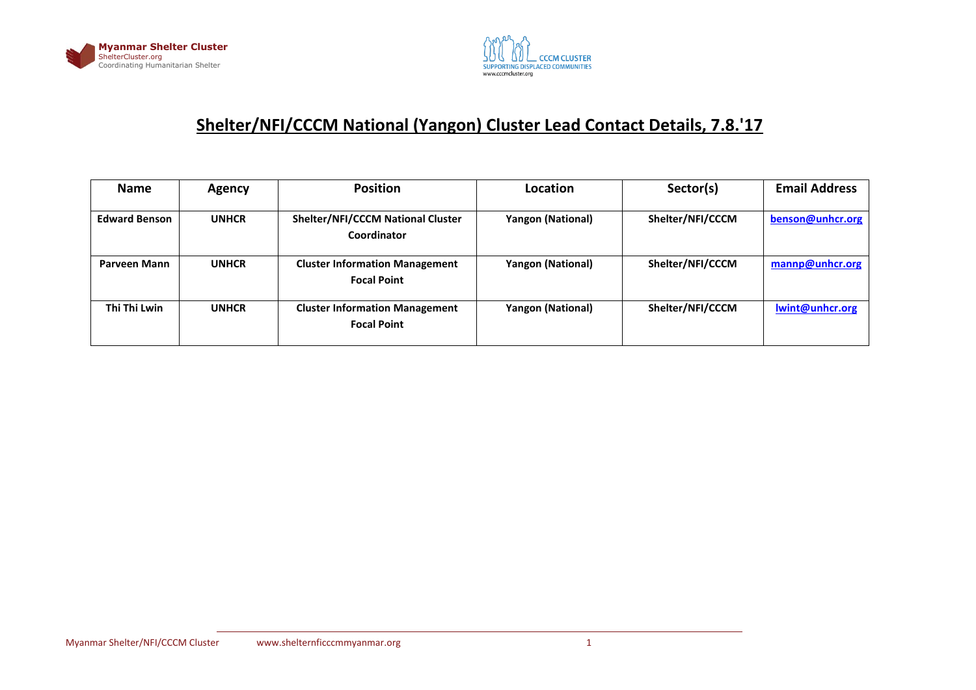



## **Shelter/NFI/CCCM National (Yangon) Cluster Lead Contact Details, 7.8.'17**

| <b>Name</b>          | <b>Agency</b> | <b>Position</b>                                             | Location                 | Sector(s)        | <b>Email Address</b> |
|----------------------|---------------|-------------------------------------------------------------|--------------------------|------------------|----------------------|
| <b>Edward Benson</b> | <b>UNHCR</b>  | <b>Shelter/NFI/CCCM National Cluster</b><br>Coordinator     | <b>Yangon (National)</b> | Shelter/NFI/CCCM | benson@unhcr.org     |
| Parveen Mann         | <b>UNHCR</b>  | <b>Cluster Information Management</b><br><b>Focal Point</b> | <b>Yangon (National)</b> | Shelter/NFI/CCCM | mannp@unhcr.org      |
| Thi Thi Lwin         | <b>UNHCR</b>  | <b>Cluster Information Management</b><br><b>Focal Point</b> | <b>Yangon (National)</b> | Shelter/NFI/CCCM | lwint@unhcr.org      |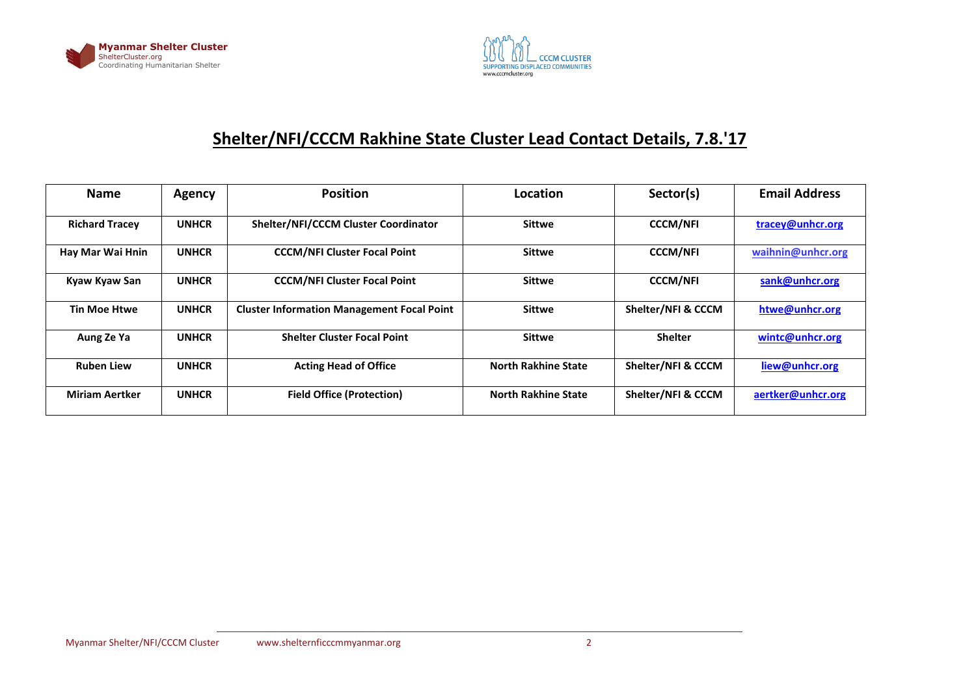



## **Shelter/NFI/CCCM Rakhine State Cluster Lead Contact Details, 7.8.'17**

| <b>Name</b>           | Agency       | <b>Position</b>                                   | Location                   | Sector(s)          | <b>Email Address</b> |
|-----------------------|--------------|---------------------------------------------------|----------------------------|--------------------|----------------------|
| <b>Richard Tracey</b> | <b>UNHCR</b> | <b>Shelter/NFI/CCCM Cluster Coordinator</b>       | <b>Sittwe</b>              | <b>CCCM/NFI</b>    | tracey@unhcr.org     |
| Hay Mar Wai Hnin      | <b>UNHCR</b> | <b>CCCM/NFI Cluster Focal Point</b>               | <b>Sittwe</b>              | <b>CCCM/NFI</b>    | waihnin@unhcr.org    |
| Kyaw Kyaw San         | <b>UNHCR</b> | <b>CCCM/NFI Cluster Focal Point</b>               | <b>Sittwe</b>              | <b>CCCM/NFI</b>    | sank@unhcr.org       |
| <b>Tin Moe Htwe</b>   | <b>UNHCR</b> | <b>Cluster Information Management Focal Point</b> | <b>Sittwe</b>              | Shelter/NFI & CCCM | htwe@unhcr.org       |
| Aung Ze Ya            | <b>UNHCR</b> | <b>Shelter Cluster Focal Point</b>                | <b>Sittwe</b>              | <b>Shelter</b>     | wintc@unhcr.org      |
| <b>Ruben Liew</b>     | <b>UNHCR</b> | <b>Acting Head of Office</b>                      | <b>North Rakhine State</b> | Shelter/NFI & CCCM | liew@unhcr.org       |
| <b>Miriam Aertker</b> | <b>UNHCR</b> | <b>Field Office (Protection)</b>                  | <b>North Rakhine State</b> | Shelter/NFI & CCCM | aertker@unhcr.org    |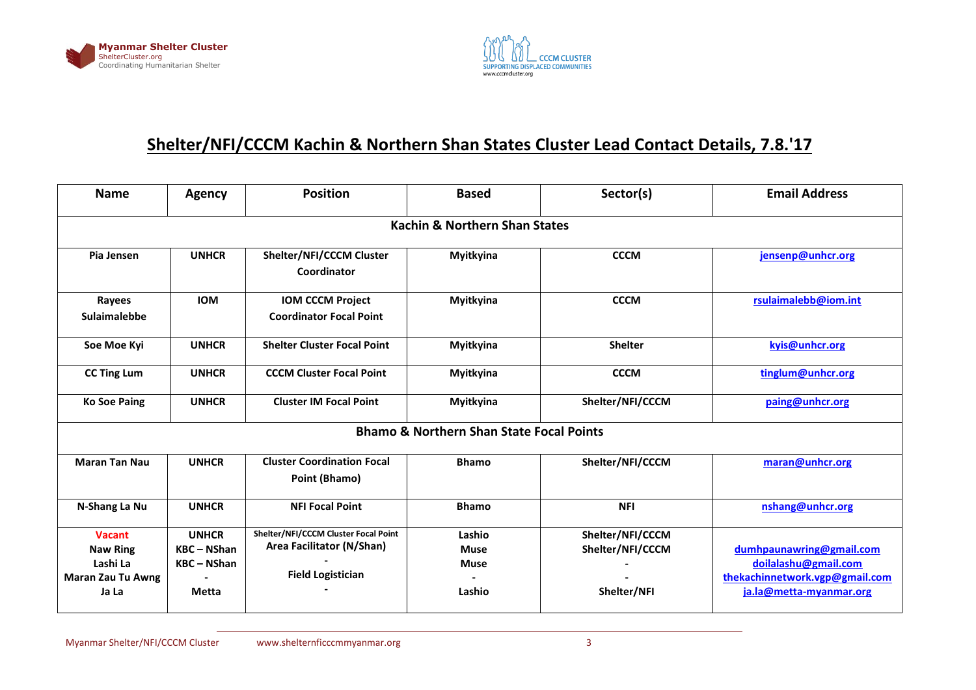



## **Shelter/NFI/CCCM Kachin & Northern Shan States Cluster Lead Contact Details, 7.8.'17**

| <b>Name</b>                                                                       | <b>Agency</b>                                           | <b>Position</b>                                                                               | <b>Based</b>                                        | Sector(s)                                           | <b>Email Address</b>                                                                                          |  |  |  |  |  |
|-----------------------------------------------------------------------------------|---------------------------------------------------------|-----------------------------------------------------------------------------------------------|-----------------------------------------------------|-----------------------------------------------------|---------------------------------------------------------------------------------------------------------------|--|--|--|--|--|
| <b>Kachin &amp; Northern Shan States</b>                                          |                                                         |                                                                                               |                                                     |                                                     |                                                                                                               |  |  |  |  |  |
| Pia Jensen                                                                        | <b>UNHCR</b>                                            | Shelter/NFI/CCCM Cluster<br>Coordinator                                                       | Myitkyina                                           | <b>CCCM</b>                                         | jensenp@unhcr.org                                                                                             |  |  |  |  |  |
| Rayees<br><b>Sulaimalebbe</b>                                                     | <b>IOM</b>                                              | <b>IOM CCCM Project</b><br><b>Coordinator Focal Point</b>                                     | Myitkyina                                           | <b>CCCM</b>                                         | rsulaimalebb@iom.int                                                                                          |  |  |  |  |  |
| Soe Moe Kyi                                                                       | <b>UNHCR</b>                                            | <b>Shelter Cluster Focal Point</b>                                                            | Myitkyina                                           | <b>Shelter</b>                                      | kyis@unhcr.org                                                                                                |  |  |  |  |  |
| <b>CC Ting Lum</b>                                                                | <b>UNHCR</b>                                            | <b>CCCM Cluster Focal Point</b>                                                               | Myitkyina                                           | <b>CCCM</b>                                         | tinglum@unhcr.org                                                                                             |  |  |  |  |  |
| <b>Ko Soe Paing</b>                                                               | <b>UNHCR</b>                                            | <b>Cluster IM Focal Point</b>                                                                 | Myitkyina                                           | Shelter/NFI/CCCM                                    | paing@unhcr.org                                                                                               |  |  |  |  |  |
|                                                                                   |                                                         |                                                                                               | <b>Bhamo &amp; Northern Shan State Focal Points</b> |                                                     |                                                                                                               |  |  |  |  |  |
| <b>Maran Tan Nau</b>                                                              | <b>UNHCR</b>                                            | <b>Cluster Coordination Focal</b><br>Point (Bhamo)                                            | <b>Bhamo</b>                                        | Shelter/NFI/CCCM                                    | maran@unhcr.org                                                                                               |  |  |  |  |  |
| N-Shang La Nu                                                                     | <b>UNHCR</b>                                            | <b>NFI Focal Point</b>                                                                        | <b>Bhamo</b>                                        | <b>NFI</b>                                          | nshang@unhcr.org                                                                                              |  |  |  |  |  |
| <b>Vacant</b><br><b>Naw Ring</b><br>Lashi La<br><b>Maran Zau Tu Awng</b><br>Ja La | <b>UNHCR</b><br>$KBC - NShan$<br>$KBC - NShan$<br>Metta | Shelter/NFI/CCCM Cluster Focal Point<br>Area Facilitator (N/Shan)<br><b>Field Logistician</b> | Lashio<br><b>Muse</b><br><b>Muse</b><br>Lashio      | Shelter/NFI/CCCM<br>Shelter/NFI/CCCM<br>Shelter/NFI | dumhpaunawring@gmail.com<br>doilalashu@gmail.com<br>thekachinnetwork.vgp@gmail.com<br>ja.la@metta-myanmar.org |  |  |  |  |  |
|                                                                                   |                                                         |                                                                                               |                                                     |                                                     |                                                                                                               |  |  |  |  |  |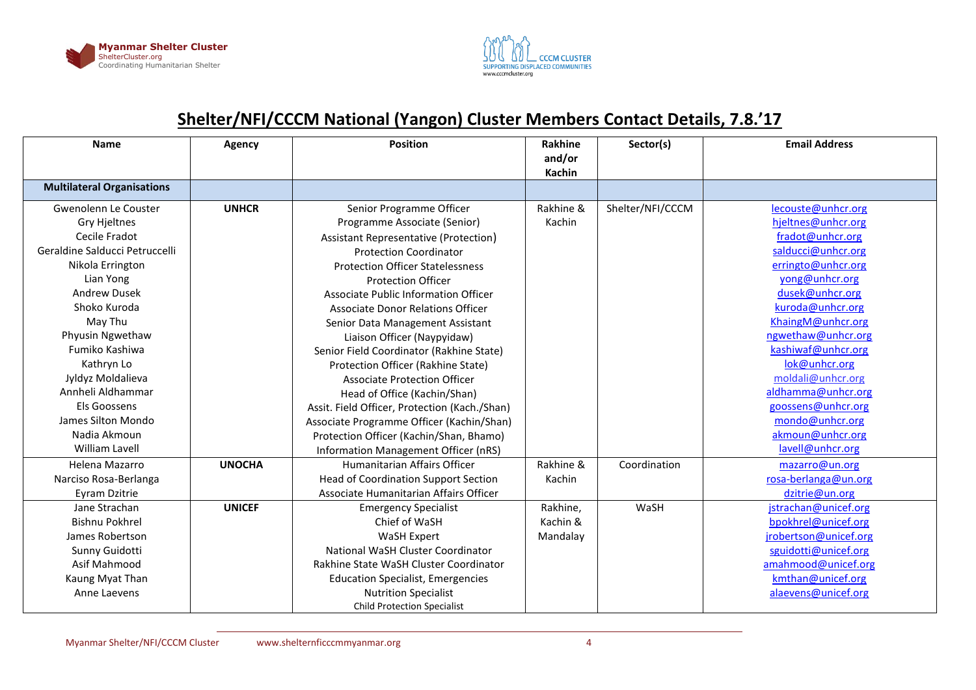



## **Shelter/NFI/CCCM National (Yangon) Cluster Members Contact Details, 7.8.'17**

| <b>Name</b>                       | Agency        | <b>Position</b>                               | Rakhine       | Sector(s)        | <b>Email Address</b>  |
|-----------------------------------|---------------|-----------------------------------------------|---------------|------------------|-----------------------|
|                                   |               |                                               | and/or        |                  |                       |
|                                   |               |                                               | <b>Kachin</b> |                  |                       |
| <b>Multilateral Organisations</b> |               |                                               |               |                  |                       |
| Gwenolenn Le Couster              | <b>UNHCR</b>  | Senior Programme Officer                      | Rakhine &     | Shelter/NFI/CCCM | lecouste@unhcr.org    |
| Gry Hjeltnes                      |               | Programme Associate (Senior)                  | Kachin        |                  | hjeltnes@unhcr.org    |
| Cecile Fradot                     |               | Assistant Representative (Protection)         |               |                  | fradot@unhcr.org      |
| Geraldine Salducci Petruccelli    |               | <b>Protection Coordinator</b>                 |               |                  | salducci@unhcr.org    |
| Nikola Errington                  |               | <b>Protection Officer Statelessness</b>       |               |                  | erringto@unhcr.org    |
| Lian Yong                         |               | <b>Protection Officer</b>                     |               |                  | yong@unhcr.org        |
| <b>Andrew Dusek</b>               |               | Associate Public Information Officer          |               |                  | dusek@unhcr.org       |
| Shoko Kuroda                      |               | <b>Associate Donor Relations Officer</b>      |               |                  | kuroda@unhcr.org      |
| May Thu                           |               | Senior Data Management Assistant              |               |                  | KhaingM@unhcr.org     |
| Phyusin Ngwethaw                  |               | Liaison Officer (Naypyidaw)                   |               |                  | ngwethaw@unhcr.org    |
| Fumiko Kashiwa                    |               | Senior Field Coordinator (Rakhine State)      |               |                  | kashiwaf@unhcr.org    |
| Kathryn Lo                        |               | Protection Officer (Rakhine State)            |               |                  | lok@unhcr.org         |
| Jyldyz Moldalieva                 |               | <b>Associate Protection Officer</b>           |               |                  | moldali@unhcr.org     |
| Annheli Aldhammar                 |               | Head of Office (Kachin/Shan)                  |               |                  | aldhamma@unhcr.org    |
| Els Goossens                      |               | Assit. Field Officer, Protection (Kach./Shan) |               |                  | goossens@unhcr.org    |
| James Silton Mondo                |               | Associate Programme Officer (Kachin/Shan)     |               |                  | mondo@unhcr.org       |
| Nadia Akmoun                      |               | Protection Officer (Kachin/Shan, Bhamo)       |               |                  | akmoun@unhcr.org      |
| William Lavell                    |               | Information Management Officer (nRS)          |               |                  | lavell@unhcr.org      |
| Helena Mazarro                    | <b>UNOCHA</b> | Humanitarian Affairs Officer                  | Rakhine &     | Coordination     | mazarro@un.org        |
| Narciso Rosa-Berlanga             |               | <b>Head of Coordination Support Section</b>   | Kachin        |                  | rosa-berlanga@un.org  |
| Eyram Dzitrie                     |               | Associate Humanitarian Affairs Officer        |               |                  | dzitrie@un.org        |
| Jane Strachan                     | <b>UNICEF</b> | <b>Emergency Specialist</b>                   | Rakhine,      | WaSH             | jstrachan@unicef.org  |
| Bishnu Pokhrel                    |               | Chief of WaSH                                 | Kachin &      |                  | bpokhrel@unicef.org   |
| James Robertson                   |               | WaSH Expert                                   | Mandalay      |                  | jrobertson@unicef.org |
| Sunny Guidotti                    |               | National WaSH Cluster Coordinator             |               |                  | sguidotti@unicef.org  |
| Asif Mahmood                      |               | Rakhine State WaSH Cluster Coordinator        |               |                  | amahmood@unicef.org   |
| Kaung Myat Than                   |               | <b>Education Specialist, Emergencies</b>      |               |                  | kmthan@unicef.org     |
| Anne Laevens                      |               | <b>Nutrition Specialist</b>                   |               |                  | alaevens@unicef.org   |
|                                   |               | <b>Child Protection Specialist</b>            |               |                  |                       |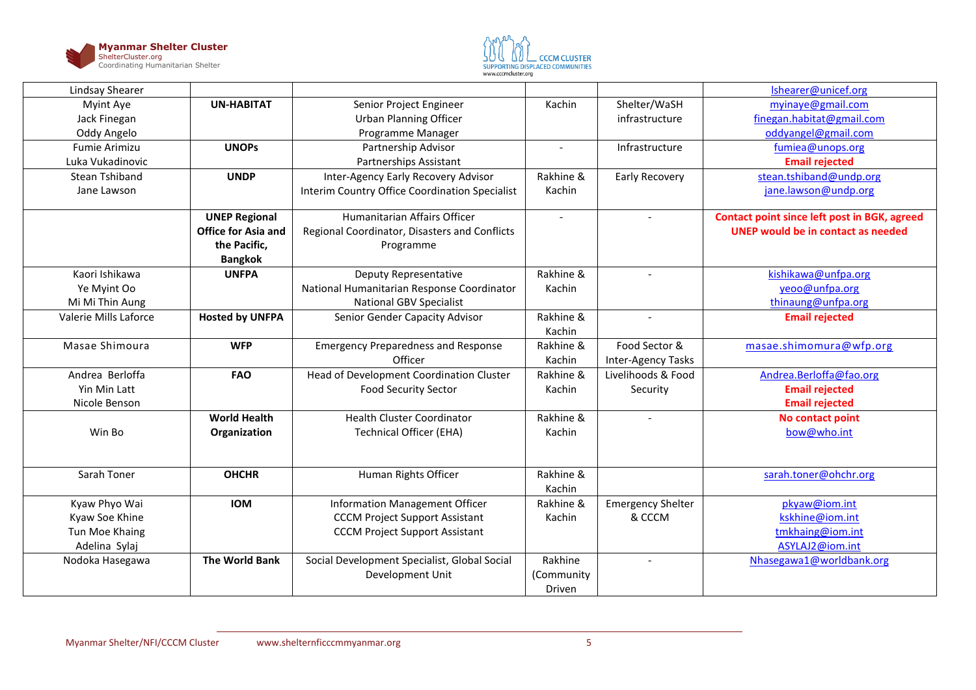



| Lindsay Shearer       |                            |                                                |                          |                          | Ishearer@unicef.org                                 |
|-----------------------|----------------------------|------------------------------------------------|--------------------------|--------------------------|-----------------------------------------------------|
| Myint Aye             | <b>UN-HABITAT</b>          | Senior Project Engineer                        | Kachin                   | Shelter/WaSH             | myinaye@gmail.com                                   |
| Jack Finegan          |                            | <b>Urban Planning Officer</b>                  |                          | infrastructure           | finegan.habitat@gmail.com                           |
| Oddy Angelo           |                            | Programme Manager                              |                          |                          | oddyangel@gmail.com                                 |
| Fumie Arimizu         | <b>UNOPs</b>               | Partnership Advisor                            | $\overline{\phantom{a}}$ | Infrastructure           | fumiea@unops.org                                    |
| Luka Vukadinovic      |                            | Partnerships Assistant                         |                          |                          | <b>Email rejected</b>                               |
| <b>Stean Tshiband</b> | <b>UNDP</b>                | Inter-Agency Early Recovery Advisor            | Rakhine &                | <b>Early Recovery</b>    | stean.tshiband@undp.org                             |
| Jane Lawson           |                            | Interim Country Office Coordination Specialist | Kachin                   |                          | jane.lawson@undp.org                                |
|                       | <b>UNEP Regional</b>       | Humanitarian Affairs Officer                   | $\overline{\phantom{a}}$ |                          | <b>Contact point since left post in BGK, agreed</b> |
|                       | <b>Office for Asia and</b> | Regional Coordinator, Disasters and Conflicts  |                          |                          | <b>UNEP would be in contact as needed</b>           |
|                       | the Pacific,               | Programme                                      |                          |                          |                                                     |
|                       | <b>Bangkok</b>             |                                                |                          |                          |                                                     |
| Kaori Ishikawa        | <b>UNFPA</b>               | Deputy Representative                          | Rakhine &                |                          | kishikawa@unfpa.org                                 |
| Ye Myint Oo           |                            | National Humanitarian Response Coordinator     | Kachin                   |                          | yeoo@unfpa.org                                      |
| Mi Mi Thin Aung       |                            | <b>National GBV Specialist</b>                 |                          |                          | thinaung@unfpa.org                                  |
| Valerie Mills Laforce | <b>Hosted by UNFPA</b>     | Senior Gender Capacity Advisor                 | Rakhine &                |                          | <b>Email rejected</b>                               |
|                       |                            |                                                | Kachin                   |                          |                                                     |
| Masae Shimoura        | <b>WFP</b>                 | <b>Emergency Preparedness and Response</b>     | Rakhine &                | Food Sector &            | masae.shimomura@wfp.org                             |
|                       |                            | Officer                                        | Kachin                   | Inter-Agency Tasks       |                                                     |
| Andrea Berloffa       | <b>FAO</b>                 | Head of Development Coordination Cluster       | Rakhine &                | Livelihoods & Food       | Andrea.Berloffa@fao.org                             |
| Yin Min Latt          |                            | <b>Food Security Sector</b>                    | Kachin                   | Security                 | <b>Email rejected</b>                               |
| Nicole Benson         |                            |                                                |                          |                          | <b>Email rejected</b>                               |
|                       | <b>World Health</b>        | <b>Health Cluster Coordinator</b>              | Rakhine &                |                          | No contact point                                    |
| Win Bo                | Organization               | <b>Technical Officer (EHA)</b>                 | Kachin                   |                          | bow@who.int                                         |
|                       |                            |                                                |                          |                          |                                                     |
| Sarah Toner           | <b>OHCHR</b>               | Human Rights Officer                           | Rakhine &                |                          | sarah.toner@ohchr.org                               |
|                       |                            |                                                | Kachin                   |                          |                                                     |
| Kyaw Phyo Wai         | <b>IOM</b>                 | <b>Information Management Officer</b>          | Rakhine &                | <b>Emergency Shelter</b> | pkyaw@iom.int                                       |
| Kyaw Soe Khine        |                            | <b>CCCM Project Support Assistant</b>          | Kachin                   | & CCCM                   | kskhine@iom.int                                     |
| Tun Moe Khaing        |                            | <b>CCCM Project Support Assistant</b>          |                          |                          | tmkhaing@iom.int                                    |
| Adelina Sylaj         |                            |                                                |                          |                          | ASYLAJ2@iom.int                                     |
| Nodoka Hasegawa       | <b>The World Bank</b>      | Social Development Specialist, Global Social   | Rakhine                  |                          | Nhasegawa1@worldbank.org                            |
|                       |                            | Development Unit                               | (Community               |                          |                                                     |
|                       |                            |                                                | Driven                   |                          |                                                     |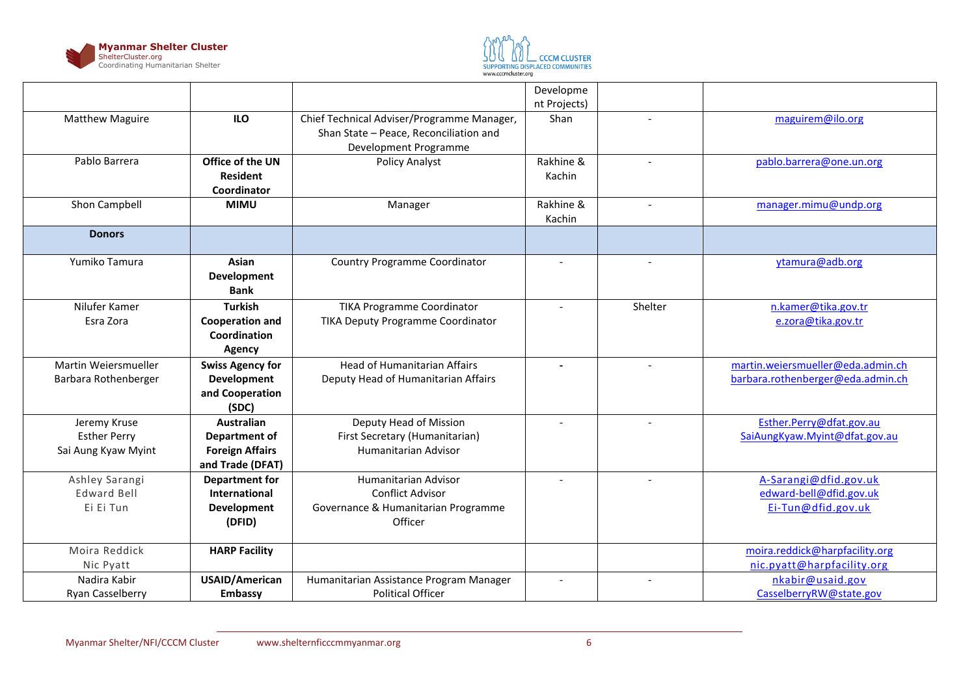



|                        |                                |                                            | Developme                |                          |                                   |
|------------------------|--------------------------------|--------------------------------------------|--------------------------|--------------------------|-----------------------------------|
|                        |                                |                                            | nt Projects)             |                          |                                   |
| <b>Matthew Maguire</b> | <b>ILO</b>                     | Chief Technical Adviser/Programme Manager, | Shan                     |                          | maguirem@ilo.org                  |
|                        |                                | Shan State - Peace, Reconciliation and     |                          |                          |                                   |
|                        |                                | Development Programme                      |                          |                          |                                   |
| Pablo Barrera          | Office of the UN               | Policy Analyst                             | Rakhine &                | $\overline{\phantom{a}}$ | pablo.barrera@one.un.org          |
|                        | <b>Resident</b>                |                                            | Kachin                   |                          |                                   |
|                        | Coordinator                    |                                            |                          |                          |                                   |
| Shon Campbell          | <b>MIMU</b>                    | Manager                                    | Rakhine &                | $\sim$                   | manager.mimu@undp.org             |
|                        |                                |                                            | Kachin                   |                          |                                   |
| <b>Donors</b>          |                                |                                            |                          |                          |                                   |
| Yumiko Tamura          | Asian                          | <b>Country Programme Coordinator</b>       | $\sim$                   |                          | ytamura@adb.org                   |
|                        | Development                    |                                            |                          |                          |                                   |
|                        | <b>Bank</b>                    |                                            |                          |                          |                                   |
| Nilufer Kamer          | <b>Turkish</b>                 | <b>TIKA Programme Coordinator</b>          |                          | Shelter                  | n.kamer@tika.gov.tr               |
| Esra Zora              | <b>Cooperation and</b>         | TIKA Deputy Programme Coordinator          |                          |                          | e.zora@tika.gov.tr                |
|                        | Coordination                   |                                            |                          |                          |                                   |
|                        | <b>Agency</b>                  |                                            |                          |                          |                                   |
| Martin Weiersmueller   | <b>Swiss Agency for</b>        | <b>Head of Humanitarian Affairs</b>        | $\blacksquare$           | $\overline{\phantom{a}}$ | martin.weiersmueller@eda.admin.ch |
|                        |                                | Deputy Head of Humanitarian Affairs        |                          |                          | barbara.rothenberger@eda.admin.ch |
| Barbara Rothenberger   | Development<br>and Cooperation |                                            |                          |                          |                                   |
|                        | (SDC)                          |                                            |                          |                          |                                   |
| Jeremy Kruse           | <b>Australian</b>              | Deputy Head of Mission                     | $\overline{a}$           |                          | Esther.Perry@dfat.gov.au          |
| <b>Esther Perry</b>    | Department of                  | First Secretary (Humanitarian)             |                          |                          | SaiAungKyaw.Myint@dfat.gov.au     |
| Sai Aung Kyaw Myint    | <b>Foreign Affairs</b>         | Humanitarian Advisor                       |                          |                          |                                   |
|                        | and Trade (DFAT)               |                                            |                          |                          |                                   |
| Ashley Sarangi         | <b>Department for</b>          | Humanitarian Advisor                       |                          |                          | A-Sarangi@dfid.gov.uk             |
| <b>Edward Bell</b>     | International                  | <b>Conflict Advisor</b>                    |                          |                          | edward-bell@dfid.gov.uk           |
| Ei Ei Tun              | Development                    | Governance & Humanitarian Programme        |                          |                          | Ei-Tun@dfid.gov.uk                |
|                        | (DFID)                         | Officer                                    |                          |                          |                                   |
|                        |                                |                                            |                          |                          |                                   |
| Moira Reddick          | <b>HARP Facility</b>           |                                            |                          |                          | moira.reddick@harpfacility.org    |
| Nic Pyatt              |                                |                                            |                          |                          | nic.pyatt@harpfacility.org        |
| Nadira Kabir           | <b>USAID/American</b>          | Humanitarian Assistance Program Manager    | $\overline{\phantom{a}}$ | $\overline{\phantom{a}}$ | nkabir@usaid.gov                  |
| Ryan Casselberry       | Embassy                        | <b>Political Officer</b>                   |                          |                          | CasselberryRW@state.gov           |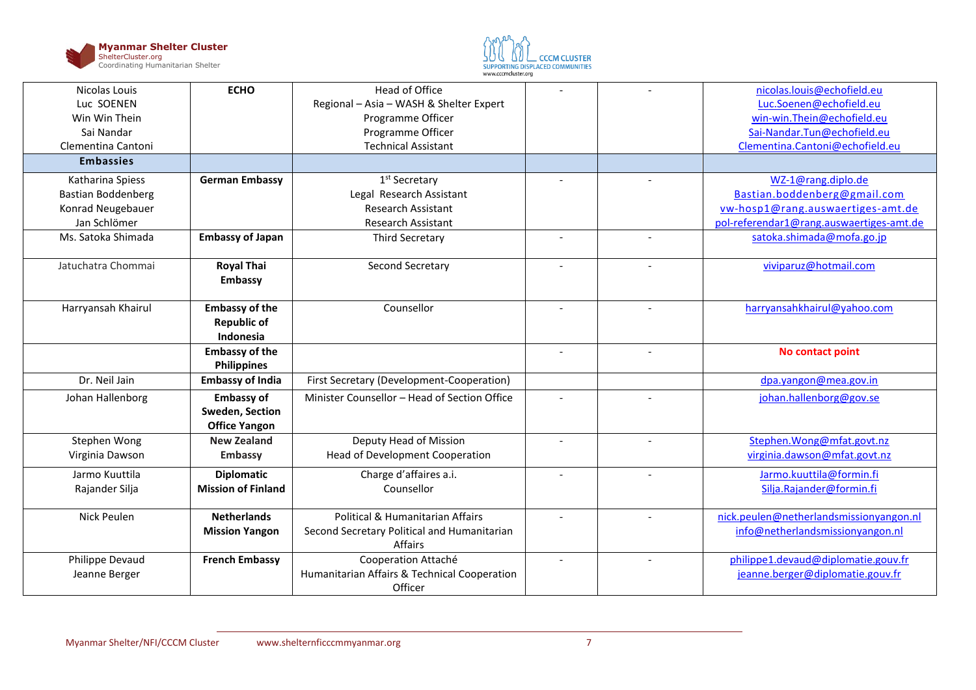



| Nicolas Louis             | <b>ECHO</b>               | <b>Head of Office</b>                                   |                          |                          | nicolas.louis@echofield.eu               |
|---------------------------|---------------------------|---------------------------------------------------------|--------------------------|--------------------------|------------------------------------------|
| Luc SOENEN                |                           | Regional - Asia - WASH & Shelter Expert                 |                          |                          | Luc.Soenen@echofield.eu                  |
| Win Win Thein             |                           | Programme Officer                                       |                          |                          | win-win.Thein@echofield.eu               |
| Sai Nandar                |                           | Programme Officer                                       |                          |                          | Sai-Nandar.Tun@echofield.eu              |
| Clementina Cantoni        |                           | <b>Technical Assistant</b>                              |                          |                          | Clementina.Cantoni@echofield.eu          |
| <b>Embassies</b>          |                           |                                                         |                          |                          |                                          |
| Katharina Spiess          | <b>German Embassy</b>     | 1 <sup>st</sup> Secretary                               |                          |                          | WZ-1@rang.diplo.de                       |
| <b>Bastian Boddenberg</b> |                           | Legal Research Assistant                                |                          |                          | Bastian.boddenberg@gmail.com             |
| Konrad Neugebauer         |                           | Research Assistant                                      |                          |                          | vw-hosp1@rang.auswaertiges-amt.de        |
| Jan Schlömer              |                           | <b>Research Assistant</b>                               |                          |                          | pol-referendar1@rang.auswaertiges-amt.de |
| Ms. Satoka Shimada        | <b>Embassy of Japan</b>   | Third Secretary                                         | $\overline{\phantom{a}}$ |                          | satoka.shimada@mofa.go.jp                |
| Jatuchatra Chommai        | <b>Royal Thai</b>         | Second Secretary                                        |                          |                          | viviparuz@hotmail.com                    |
|                           | Embassy                   |                                                         |                          |                          |                                          |
|                           |                           |                                                         |                          |                          |                                          |
| Harryansah Khairul        | <b>Embassy of the</b>     | Counsellor                                              | $\overline{\phantom{a}}$ |                          | harryansahkhairul@yahoo.com              |
|                           | <b>Republic of</b>        |                                                         |                          |                          |                                          |
|                           | Indonesia                 |                                                         |                          |                          |                                          |
|                           | <b>Embassy of the</b>     |                                                         | $\sim$                   | $\overline{\phantom{a}}$ | No contact point                         |
|                           |                           |                                                         |                          |                          |                                          |
|                           | <b>Philippines</b>        |                                                         |                          |                          |                                          |
| Dr. Neil Jain             | <b>Embassy of India</b>   | First Secretary (Development-Cooperation)               |                          |                          | dpa.yangon@mea.gov.in                    |
| Johan Hallenborg          | <b>Embassy of</b>         | Minister Counsellor - Head of Section Office            |                          |                          | johan.hallenborg@gov.se                  |
|                           | Sweden, Section           |                                                         |                          |                          |                                          |
|                           | <b>Office Yangon</b>      |                                                         |                          |                          |                                          |
| Stephen Wong              | <b>New Zealand</b>        | Deputy Head of Mission                                  |                          | $\overline{\phantom{a}}$ | Stephen.Wong@mfat.govt.nz                |
| Virginia Dawson           | Embassy                   | Head of Development Cooperation                         |                          |                          | virginia.dawson@mfat.govt.nz             |
| Jarmo Kuuttila            | <b>Diplomatic</b>         | Charge d'affaires a.i.                                  | $\overline{\phantom{a}}$ |                          | Jarmo.kuuttila@formin.fi                 |
| Rajander Silja            | <b>Mission of Finland</b> | Counsellor                                              |                          |                          | Silja.Rajander@formin.fi                 |
|                           |                           |                                                         |                          |                          |                                          |
| <b>Nick Peulen</b>        | <b>Netherlands</b>        | Political & Humanitarian Affairs                        |                          |                          | nick.peulen@netherlandsmissionyangon.nl  |
|                           | <b>Mission Yangon</b>     | Second Secretary Political and Humanitarian             |                          |                          | info@netherlandsmissionyangon.nl         |
|                           |                           | Affairs                                                 |                          |                          |                                          |
| Philippe Devaud           | <b>French Embassy</b>     | Cooperation Attaché                                     | $\overline{a}$           |                          | philippe1.devaud@diplomatie.gouv.fr      |
| Jeanne Berger             |                           | Humanitarian Affairs & Technical Cooperation<br>Officer |                          |                          | jeanne.berger@diplomatie.gouv.fr         |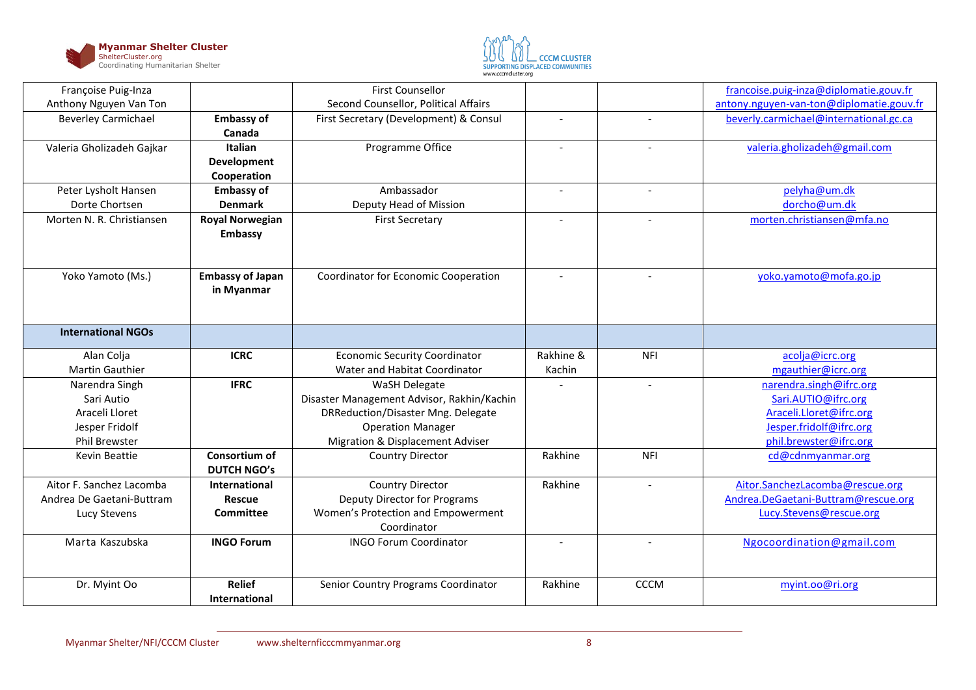



| Françoise Puig-Inza        |                                | <b>First Counsellor</b>                    |                          |                          | francoise.puig-inza@diplomatie.gouv.fr   |
|----------------------------|--------------------------------|--------------------------------------------|--------------------------|--------------------------|------------------------------------------|
| Anthony Nguyen Van Ton     |                                | Second Counsellor, Political Affairs       |                          |                          | antony.nguyen-van-ton@diplomatie.gouv.fr |
| <b>Beverley Carmichael</b> | <b>Embassy of</b>              | First Secretary (Development) & Consul     | $\overline{\phantom{a}}$ | $\overline{a}$           | beverly.carmichael@international.gc.ca   |
|                            | Canada                         |                                            |                          |                          |                                          |
| Valeria Gholizadeh Gajkar  | Italian                        | Programme Office                           | $\blacksquare$           | $\sim$                   | valeria.gholizadeh@gmail.com             |
|                            | <b>Development</b>             |                                            |                          |                          |                                          |
|                            | Cooperation                    |                                            |                          |                          |                                          |
| Peter Lysholt Hansen       | <b>Embassy of</b>              | Ambassador                                 | $\overline{\phantom{a}}$ | $\overline{\phantom{a}}$ | pelyha@um.dk                             |
| Dorte Chortsen             | <b>Denmark</b>                 | Deputy Head of Mission                     |                          |                          | dorcho@um.dk                             |
| Morten N. R. Christiansen  | <b>Royal Norwegian</b>         | <b>First Secretary</b>                     |                          |                          | morten.christiansen@mfa.no               |
|                            | Embassy                        |                                            |                          |                          |                                          |
|                            |                                |                                            |                          |                          |                                          |
|                            |                                |                                            |                          |                          |                                          |
| Yoko Yamoto (Ms.)          | <b>Embassy of Japan</b>        | Coordinator for Economic Cooperation       |                          |                          | yoko.yamoto@mofa.go.jp                   |
|                            | in Myanmar                     |                                            |                          |                          |                                          |
|                            |                                |                                            |                          |                          |                                          |
|                            |                                |                                            |                          |                          |                                          |
| <b>International NGOs</b>  |                                |                                            |                          |                          |                                          |
| Alan Colja                 | <b>ICRC</b>                    | <b>Economic Security Coordinator</b>       | Rakhine &                | <b>NFI</b>               | acolja@icrc.org                          |
| <b>Martin Gauthier</b>     |                                | Water and Habitat Coordinator              | Kachin                   |                          | mgauthier@icrc.org                       |
| Narendra Singh             | <b>IFRC</b>                    | WaSH Delegate                              |                          | $\sim$                   | narendra.singh@ifrc.org                  |
| Sari Autio                 |                                | Disaster Management Advisor, Rakhin/Kachin |                          |                          | Sari.AUTIO@ifrc.org                      |
| Araceli Lloret             |                                | DRReduction/Disaster Mng. Delegate         |                          |                          | Araceli.Lloret@ifrc.org                  |
| Jesper Fridolf             |                                | <b>Operation Manager</b>                   |                          |                          | Jesper.fridolf@ifrc.org                  |
| Phil Brewster              |                                | Migration & Displacement Adviser           |                          |                          | phil.brewster@ifrc.org                   |
| Kevin Beattie              | Consortium of                  | <b>Country Director</b>                    | Rakhine                  | <b>NFI</b>               | cd@cdnmyanmar.org                        |
|                            | <b>DUTCH NGO's</b>             |                                            |                          |                          |                                          |
| Aitor F. Sanchez Lacomba   | International                  | Country Director                           | Rakhine                  | $\sim$                   | Aitor.SanchezLacomba@rescue.org          |
| Andrea De Gaetani-Buttram  | <b>Rescue</b>                  | <b>Deputy Director for Programs</b>        |                          |                          | Andrea.DeGaetani-Buttram@rescue.org      |
| Lucy Stevens               | <b>Committee</b>               | Women's Protection and Empowerment         |                          |                          | Lucy.Stevens@rescue.org                  |
|                            |                                | Coordinator                                |                          |                          |                                          |
| Marta Kaszubska            |                                | <b>INGO Forum Coordinator</b>              |                          | $\overline{a}$           | Ngocoordination@gmail.com                |
|                            | <b>INGO Forum</b>              |                                            |                          |                          |                                          |
|                            |                                |                                            |                          |                          |                                          |
|                            |                                |                                            |                          |                          |                                          |
| Dr. Myint Oo               | <b>Relief</b><br>International | Senior Country Programs Coordinator        | Rakhine                  | <b>CCCM</b>              | myint.oo@ri.org                          |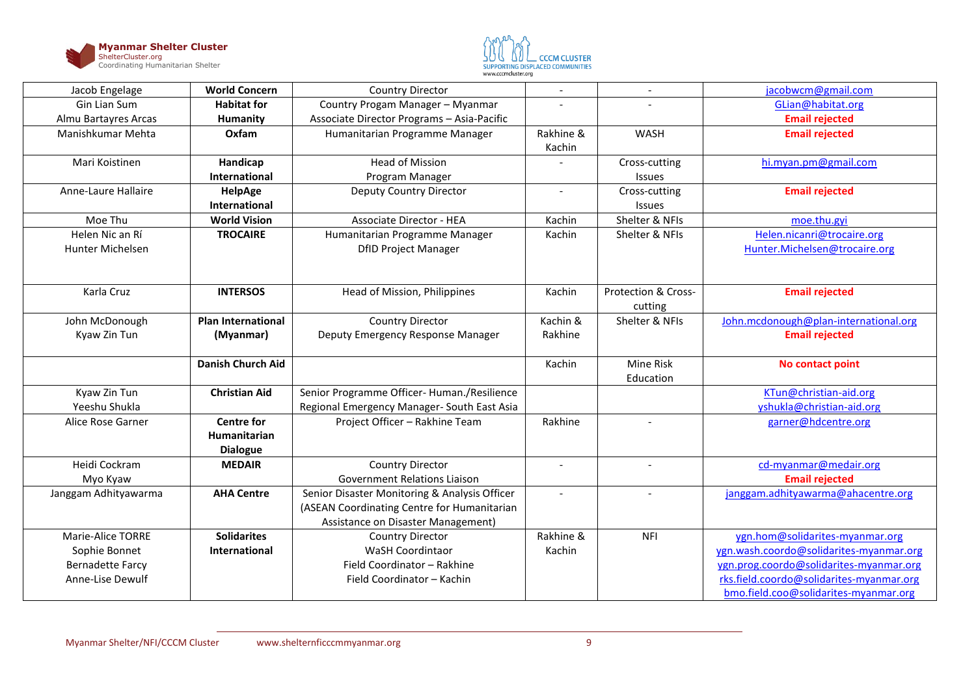



| Jacob Engelage          | <b>World Concern</b>      | <b>Country Director</b>                       |                |                     | jacobwcm@gmail.com                       |
|-------------------------|---------------------------|-----------------------------------------------|----------------|---------------------|------------------------------------------|
| Gin Lian Sum            | <b>Habitat for</b>        | Country Progam Manager - Myanmar              |                |                     | GLian@habitat.org                        |
| Almu Bartayres Arcas    | Humanity                  | Associate Director Programs - Asia-Pacific    |                |                     | <b>Email rejected</b>                    |
| Manishkumar Mehta       | Oxfam                     | Humanitarian Programme Manager                | Rakhine &      | WASH                | <b>Email rejected</b>                    |
|                         |                           |                                               | Kachin         |                     |                                          |
| Mari Koistinen          | Handicap                  | <b>Head of Mission</b>                        |                | Cross-cutting       | hi.myan.pm@gmail.com                     |
|                         | <b>International</b>      | Program Manager                               |                | <b>Issues</b>       |                                          |
| Anne-Laure Hallaire     | HelpAge                   | Deputy Country Director                       | $\overline{a}$ | Cross-cutting       | <b>Email rejected</b>                    |
|                         | <b>International</b>      |                                               |                | <b>Issues</b>       |                                          |
| Moe Thu                 | <b>World Vision</b>       | <b>Associate Director - HEA</b>               | Kachin         | Shelter & NFIs      | moe.thu.gyi                              |
| Helen Nic an Rí         | <b>TROCAIRE</b>           | Humanitarian Programme Manager                | Kachin         | Shelter & NFIs      | Helen.nicanri@trocaire.org               |
| Hunter Michelsen        |                           | <b>DfID Project Manager</b>                   |                |                     | Hunter.Michelsen@trocaire.org            |
|                         |                           |                                               |                |                     |                                          |
|                         |                           |                                               |                |                     |                                          |
| Karla Cruz              | <b>INTERSOS</b>           | Head of Mission, Philippines                  | Kachin         | Protection & Cross- | <b>Email rejected</b>                    |
|                         |                           |                                               |                | cutting             |                                          |
| John McDonough          | <b>Plan International</b> | Country Director                              | Kachin &       | Shelter & NFIs      | John.mcdonough@plan-international.org    |
| Kyaw Zin Tun            | (Myanmar)                 | Deputy Emergency Response Manager             | Rakhine        |                     | <b>Email rejected</b>                    |
|                         |                           |                                               |                |                     |                                          |
|                         | <b>Danish Church Aid</b>  |                                               | Kachin         | Mine Risk           | No contact point                         |
|                         |                           |                                               |                | Education           |                                          |
| Kyaw Zin Tun            | <b>Christian Aid</b>      | Senior Programme Officer- Human./Resilience   |                |                     | KTun@christian-aid.org                   |
| Yeeshu Shukla           |                           | Regional Emergency Manager- South East Asia   |                |                     | yshukla@christian-aid.org                |
| Alice Rose Garner       | <b>Centre for</b>         | Project Officer - Rakhine Team                | Rakhine        |                     | garner@hdcentre.org                      |
|                         | Humanitarian              |                                               |                |                     |                                          |
|                         | <b>Dialogue</b>           |                                               |                |                     |                                          |
| Heidi Cockram           | <b>MEDAIR</b>             | Country Director                              |                |                     | cd-myanmar@medair.org                    |
| Myo Kyaw                |                           | Government Relations Liaison                  |                |                     | <b>Email rejected</b>                    |
| Janggam Adhityawarma    | <b>AHA Centre</b>         | Senior Disaster Monitoring & Analysis Officer |                |                     | janggam.adhityawarma@ahacentre.org       |
|                         |                           | (ASEAN Coordinating Centre for Humanitarian   |                |                     |                                          |
|                         |                           | Assistance on Disaster Management)            |                |                     |                                          |
| Marie-Alice TORRE       | <b>Solidarites</b>        | <b>Country Director</b>                       | Rakhine &      | <b>NFI</b>          | ygn.hom@solidarites-myanmar.org          |
| Sophie Bonnet           | <b>International</b>      | WaSH Coordintaor                              | Kachin         |                     | ygn.wash.coordo@solidarites-myanmar.org  |
| <b>Bernadette Farcy</b> |                           | Field Coordinator - Rakhine                   |                |                     | ygn.prog.coordo@solidarites-myanmar.org  |
| Anne-Lise Dewulf        |                           | Field Coordinator - Kachin                    |                |                     | rks.field.coordo@solidarites-myanmar.org |
|                         |                           |                                               |                |                     | bmo.field.coo@solidarites-myanmar.org    |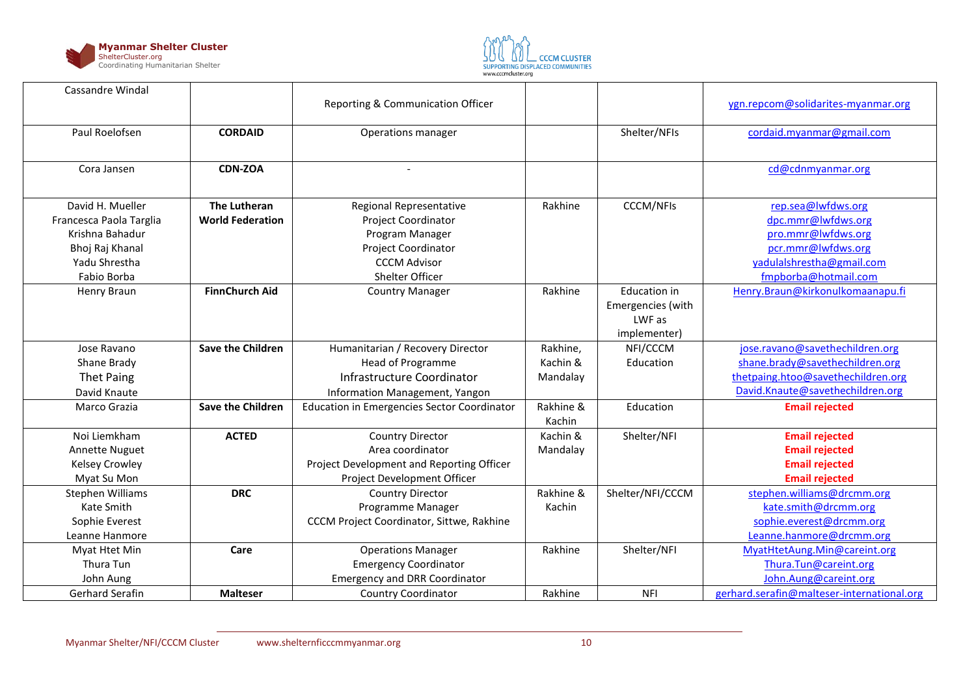



| <b>Cassandre Windal</b> |                          | Reporting & Communication Officer                  |                     |                     | ygn.repcom@solidarites-myanmar.org         |
|-------------------------|--------------------------|----------------------------------------------------|---------------------|---------------------|--------------------------------------------|
| Paul Roelofsen          | <b>CORDAID</b>           | Operations manager                                 |                     | Shelter/NFIs        | cordaid.myanmar@gmail.com                  |
| Cora Jansen             | <b>CDN-ZOA</b>           |                                                    |                     |                     | cd@cdnmyanmar.org                          |
| David H. Mueller        | The Lutheran             | Regional Representative                            | Rakhine             | <b>CCCM/NFIs</b>    | rep.sea@lwfdws.org                         |
| Francesca Paola Targlia | <b>World Federation</b>  | Project Coordinator                                |                     |                     | dpc.mmr@lwfdws.org                         |
| Krishna Bahadur         |                          | Program Manager                                    |                     |                     | pro.mmr@lwfdws.org                         |
| Bhoj Raj Khanal         |                          | Project Coordinator                                |                     |                     | pcr.mmr@lwfdws.org                         |
| Yadu Shrestha           |                          | <b>CCCM Advisor</b>                                |                     |                     | yadulalshrestha@gmail.com                  |
| Fabio Borba             |                          | Shelter Officer                                    |                     |                     | fmpborba@hotmail.com                       |
| Henry Braun             | <b>FinnChurch Aid</b>    | <b>Country Manager</b>                             | Rakhine             | <b>Education in</b> | Henry.Braun@kirkonulkomaanapu.fi           |
|                         |                          |                                                    |                     | Emergencies (with   |                                            |
|                         |                          |                                                    |                     | LWF as              |                                            |
|                         |                          |                                                    |                     | implementer)        |                                            |
| Jose Ravano             | <b>Save the Children</b> | Humanitarian / Recovery Director                   | Rakhine,            | NFI/CCCM            | jose.ravano@savethechildren.org            |
| Shane Brady             |                          | Head of Programme                                  | Kachin &            | Education           | shane.brady@savethechildren.org            |
| <b>Thet Paing</b>       |                          | Infrastructure Coordinator                         | Mandalay            |                     | thetpaing.htoo@savethechildren.org         |
| David Knaute            |                          | Information Management, Yangon                     |                     |                     | David.Knaute@savethechildren.org           |
| Marco Grazia            | <b>Save the Children</b> | <b>Education in Emergencies Sector Coordinator</b> | Rakhine &<br>Kachin | Education           | <b>Email rejected</b>                      |
| Noi Liemkham            | <b>ACTED</b>             | <b>Country Director</b>                            | Kachin &            | Shelter/NFI         | <b>Email rejected</b>                      |
| <b>Annette Nuguet</b>   |                          | Area coordinator                                   | Mandalay            |                     | <b>Email rejected</b>                      |
| <b>Kelsey Crowley</b>   |                          | Project Development and Reporting Officer          |                     |                     | <b>Email rejected</b>                      |
| Myat Su Mon             |                          | Project Development Officer                        |                     |                     | <b>Email rejected</b>                      |
| Stephen Williams        | <b>DRC</b>               | <b>Country Director</b>                            | Rakhine &           | Shelter/NFI/CCCM    | stephen.williams@drcmm.org                 |
| Kate Smith              |                          | Programme Manager                                  | Kachin              |                     | kate.smith@drcmm.org                       |
| Sophie Everest          |                          | CCCM Project Coordinator, Sittwe, Rakhine          |                     |                     | sophie.everest@drcmm.org                   |
| Leanne Hanmore          |                          |                                                    |                     |                     | Leanne.hanmore@drcmm.org                   |
| Myat Htet Min           | Care                     | <b>Operations Manager</b>                          | Rakhine             | Shelter/NFI         | MyatHtetAung.Min@careint.org               |
| Thura Tun               |                          | <b>Emergency Coordinator</b>                       |                     |                     | Thura.Tun@careint.org                      |
| John Aung               |                          | <b>Emergency and DRR Coordinator</b>               |                     |                     | John.Aung@careint.org                      |
| Gerhard Serafin         | <b>Malteser</b>          | Country Coordinator                                | Rakhine             | <b>NFI</b>          | gerhard.serafin@malteser-international.org |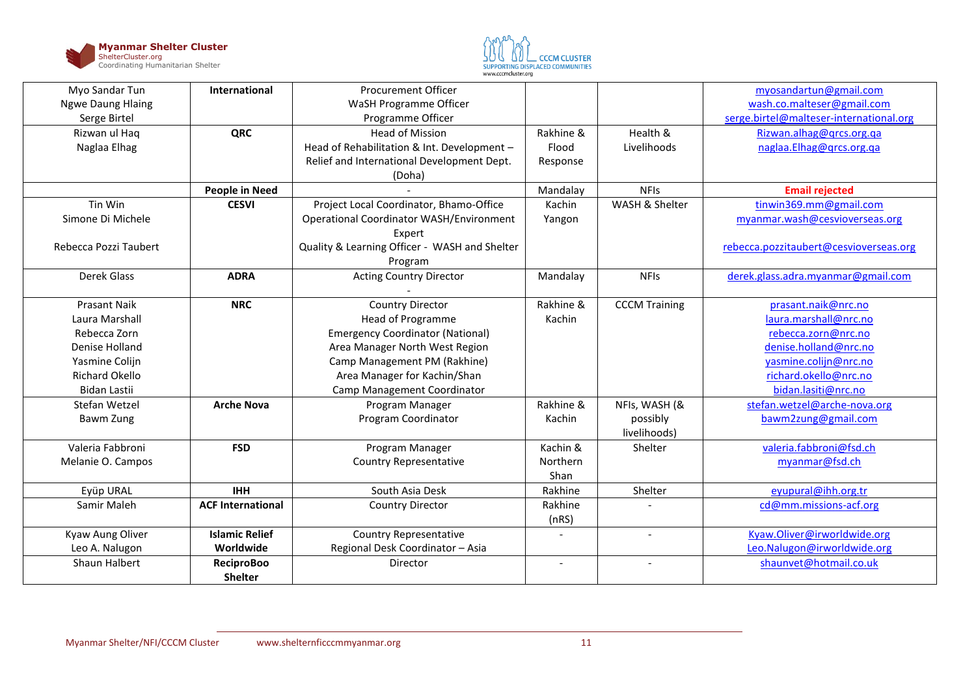



| Myo Sandar Tun           | International            | <b>Procurement Officer</b>                      |           |                          | myosandartun@gmail.com                  |
|--------------------------|--------------------------|-------------------------------------------------|-----------|--------------------------|-----------------------------------------|
| <b>Ngwe Daung Hlaing</b> |                          | WaSH Programme Officer                          |           |                          | wash.co.malteser@gmail.com              |
| Serge Birtel             |                          | Programme Officer                               |           |                          | serge.birtel@malteser-international.org |
| Rizwan ul Haq            | QRC                      | <b>Head of Mission</b>                          | Rakhine & | Health &                 | Rizwan.alhag@grcs.org.ga                |
| Naglaa Elhag             |                          | Head of Rehabilitation & Int. Development -     | Flood     | Livelihoods              | naglaa.Elhag@qrcs.org.qa                |
|                          |                          | Relief and International Development Dept.      | Response  |                          |                                         |
|                          |                          | (Doha)                                          |           |                          |                                         |
|                          | <b>People in Need</b>    |                                                 | Mandalay  | <b>NFIs</b>              | <b>Email rejected</b>                   |
| Tin Win                  | <b>CESVI</b>             | Project Local Coordinator, Bhamo-Office         | Kachin    | WASH & Shelter           | tinwin369.mm@gmail.com                  |
| Simone Di Michele        |                          | <b>Operational Coordinator WASH/Environment</b> | Yangon    |                          | myanmar.wash@cesvioverseas.org          |
|                          |                          | Expert                                          |           |                          |                                         |
| Rebecca Pozzi Taubert    |                          | Quality & Learning Officer - WASH and Shelter   |           |                          | rebecca.pozzitaubert@cesvioverseas.org  |
|                          |                          | Program                                         |           |                          |                                         |
| Derek Glass              | <b>ADRA</b>              | <b>Acting Country Director</b>                  | Mandalay  | <b>NFIs</b>              | derek.glass.adra.myanmar@gmail.com      |
|                          |                          |                                                 |           |                          |                                         |
| <b>Prasant Naik</b>      | <b>NRC</b>               | Country Director                                | Rakhine & | <b>CCCM Training</b>     | prasant.naik@nrc.no                     |
| Laura Marshall           |                          | <b>Head of Programme</b>                        | Kachin    |                          | laura.marshall@nrc.no                   |
| Rebecca Zorn             |                          | <b>Emergency Coordinator (National)</b>         |           |                          | rebecca.zorn@nrc.no                     |
| Denise Holland           |                          | Area Manager North West Region                  |           |                          | denise.holland@nrc.no                   |
| Yasmine Colijn           |                          | Camp Management PM (Rakhine)                    |           |                          | yasmine.colijn@nrc.no                   |
| <b>Richard Okello</b>    |                          | Area Manager for Kachin/Shan                    |           |                          | richard.okello@nrc.no                   |
| <b>Bidan Lastii</b>      |                          | Camp Management Coordinator                     |           |                          | bidan.lasiti@nrc.no                     |
| Stefan Wetzel            | <b>Arche Nova</b>        | Program Manager                                 | Rakhine & | NFIs, WASH (&            | stefan.wetzel@arche-nova.org            |
| Bawm Zung                |                          | Program Coordinator                             | Kachin    | possibly                 | bawm2zung@gmail.com                     |
|                          |                          |                                                 |           | livelihoods)             |                                         |
| Valeria Fabbroni         | <b>FSD</b>               | Program Manager                                 | Kachin &  | Shelter                  | valeria.fabbroni@fsd.ch                 |
| Melanie O. Campos        |                          | <b>Country Representative</b>                   | Northern  |                          | myanmar@fsd.ch                          |
|                          |                          |                                                 | Shan      |                          |                                         |
| Eyüp URAL                | <b>IHH</b>               | South Asia Desk                                 | Rakhine   | Shelter                  | eyupural@ihh.org.tr                     |
| Samir Maleh              | <b>ACF International</b> | Country Director                                | Rakhine   |                          | cd@mm.missions-acf.org                  |
|                          |                          |                                                 | (nRS)     |                          |                                         |
| Kyaw Aung Oliver         | <b>Islamic Relief</b>    | <b>Country Representative</b>                   |           | $\overline{\phantom{a}}$ | Kyaw.Oliver@irworldwide.org             |
| Leo A. Nalugon           | Worldwide                | Regional Desk Coordinator - Asia                |           |                          | Leo.Nalugon@irworldwide.org             |
| Shaun Halbert            | <b>ReciproBoo</b>        | Director                                        | $\sim$    | $\blacksquare$           | shaunvet@hotmail.co.uk                  |
|                          | <b>Shelter</b>           |                                                 |           |                          |                                         |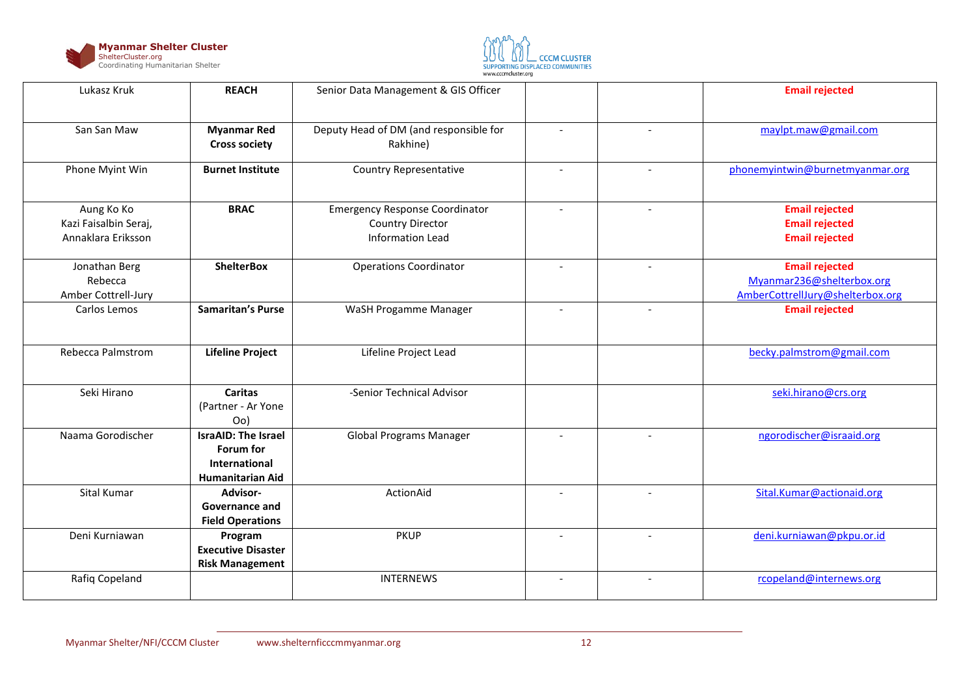



| Lukasz Kruk                                               | <b>REACH</b>                                                                        | Senior Data Management & GIS Officer                                                        |                          |                          | <b>Email rejected</b>                                                                  |
|-----------------------------------------------------------|-------------------------------------------------------------------------------------|---------------------------------------------------------------------------------------------|--------------------------|--------------------------|----------------------------------------------------------------------------------------|
| San San Maw                                               | <b>Myanmar Red</b><br><b>Cross society</b>                                          | Deputy Head of DM (and responsible for<br>Rakhine)                                          |                          |                          | maylpt.maw@gmail.com                                                                   |
| Phone Myint Win                                           | <b>Burnet Institute</b>                                                             | <b>Country Representative</b>                                                               | $\overline{a}$           | $\overline{a}$           | phonemyintwin@burnetmyanmar.org                                                        |
| Aung Ko Ko<br>Kazi Faisalbin Seraj,<br>Annaklara Eriksson | <b>BRAC</b>                                                                         | <b>Emergency Response Coordinator</b><br><b>Country Director</b><br><b>Information Lead</b> | $\overline{\phantom{a}}$ | $\overline{\phantom{a}}$ | <b>Email rejected</b><br><b>Email rejected</b><br><b>Email rejected</b>                |
| Jonathan Berg<br>Rebecca<br>Amber Cottrell-Jury           | <b>ShelterBox</b>                                                                   | <b>Operations Coordinator</b>                                                               | $\overline{a}$           | $\overline{\phantom{a}}$ | <b>Email rejected</b><br>Myanmar236@shelterbox.org<br>AmberCottrellJury@shelterbox.org |
| Carlos Lemos                                              | <b>Samaritan's Purse</b>                                                            | WaSH Progamme Manager                                                                       |                          |                          | <b>Email rejected</b>                                                                  |
| Rebecca Palmstrom                                         | <b>Lifeline Project</b>                                                             | Lifeline Project Lead                                                                       |                          |                          | becky.palmstrom@gmail.com                                                              |
| Seki Hirano                                               | <b>Caritas</b><br>(Partner - Ar Yone<br>Oo                                          | -Senior Technical Advisor                                                                   |                          |                          | seki.hirano@crs.org                                                                    |
| Naama Gorodischer                                         | <b>IsraAID: The Israel</b><br>Forum for<br>International<br><b>Humanitarian Aid</b> | <b>Global Programs Manager</b>                                                              |                          |                          | ngorodischer@israaid.org                                                               |
| Sital Kumar                                               | Advisor-<br><b>Governance and</b><br><b>Field Operations</b>                        | ActionAid                                                                                   | $\overline{\phantom{a}}$ | $\overline{\phantom{a}}$ | Sital.Kumar@actionaid.org                                                              |
| Deni Kurniawan                                            | Program<br><b>Executive Disaster</b><br><b>Risk Management</b>                      | <b>PKUP</b>                                                                                 | $\overline{\phantom{a}}$ | $\overline{\phantom{a}}$ | deni.kurniawan@pkpu.or.id                                                              |
| Rafiq Copeland                                            |                                                                                     | <b>INTERNEWS</b>                                                                            |                          | $\overline{\phantom{a}}$ | rcopeland@internews.org                                                                |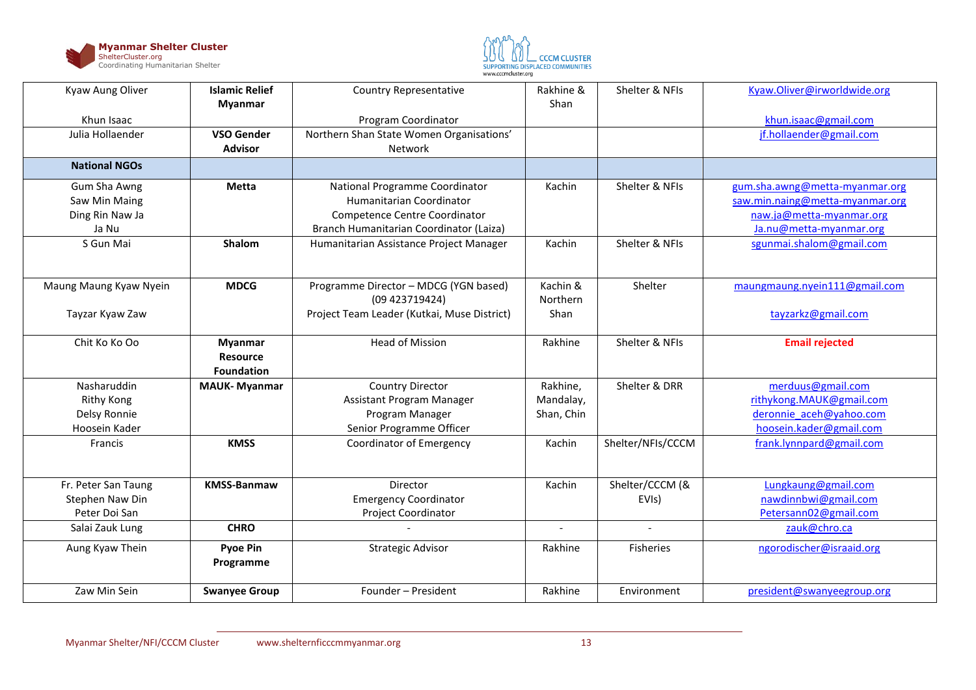



| Kyaw Aung Oliver       | <b>Islamic Relief</b><br><b>Myanmar</b>                | <b>Country Representative</b>               | Rakhine &<br>Shan | Shelter & NFIs     | Kyaw.Oliver@irworldwide.org     |
|------------------------|--------------------------------------------------------|---------------------------------------------|-------------------|--------------------|---------------------------------|
| Khun Isaac             |                                                        | Program Coordinator                         |                   |                    | khun.isaac@gmail.com            |
| Julia Hollaender       | <b>VSO Gender</b>                                      | Northern Shan State Women Organisations'    |                   |                    | jf.hollaender@gmail.com         |
|                        | <b>Advisor</b>                                         | Network                                     |                   |                    |                                 |
| <b>National NGOs</b>   |                                                        |                                             |                   |                    |                                 |
| Gum Sha Awng           | <b>Metta</b>                                           | National Programme Coordinator              | Kachin            | Shelter & NFIs     | gum.sha.awng@metta-myanmar.org  |
| Saw Min Maing          |                                                        | Humanitarian Coordinator                    |                   |                    | saw.min.naing@metta-myanmar.org |
| Ding Rin Naw Ja        |                                                        | <b>Competence Centre Coordinator</b>        |                   |                    | naw.ja@metta-myanmar.org        |
| Ja Nu                  |                                                        | Branch Humanitarian Coordinator (Laiza)     |                   |                    | Ja.nu@metta-myanmar.org         |
| S Gun Mai              | Shalom                                                 | Humanitarian Assistance Project Manager     | Kachin            | Shelter & NFIs     | sgunmai.shalom@gmail.com        |
| Maung Maung Kyaw Nyein | <b>MDCG</b>                                            | Programme Director - MDCG (YGN based)       | Kachin &          | Shelter            | maungmaung.nyein111@gmail.com   |
|                        |                                                        | (09 423719424)                              | Northern          |                    |                                 |
| Tayzar Kyaw Zaw        |                                                        | Project Team Leader (Kutkai, Muse District) | Shan              |                    | tayzarkz@gmail.com              |
| Chit Ko Ko Oo          | <b>Myanmar</b><br><b>Resource</b><br><b>Foundation</b> | <b>Head of Mission</b>                      | Rakhine           | Shelter & NFIs     | <b>Email rejected</b>           |
| Nasharuddin            | <b>MAUK-Myanmar</b>                                    | <b>Country Director</b>                     | Rakhine,          | Shelter & DRR      | merduus@gmail.com               |
| <b>Rithy Kong</b>      |                                                        | Assistant Program Manager                   | Mandalay,         |                    | rithykong.MAUK@gmail.com        |
| Delsy Ronnie           |                                                        | Program Manager                             | Shan, Chin        |                    | deronnie aceh@yahoo.com         |
| Hoosein Kader          |                                                        | Senior Programme Officer                    |                   |                    | hoosein.kader@gmail.com         |
| Francis                | <b>KMSS</b>                                            | <b>Coordinator of Emergency</b>             | Kachin            | Shelter/NFIs/CCCM  | frank.lynnpard@gmail.com        |
| Fr. Peter San Taung    | <b>KMSS-Banmaw</b>                                     | Director                                    | Kachin            | Shelter/CCCM (&    | Lungkaung@gmail.com             |
| Stephen Naw Din        |                                                        | <b>Emergency Coordinator</b>                |                   | EVI <sub>s</sub> ) | nawdinnbwi@gmail.com            |
| Peter Doi San          |                                                        | <b>Project Coordinator</b>                  |                   |                    | Petersann02@gmail.com           |
| Salai Zauk Lung        | <b>CHRO</b>                                            |                                             | $\blacksquare$    | $\blacksquare$     | zauk@chro.ca                    |
| Aung Kyaw Thein        | <b>Pyoe Pin</b><br>Programme                           | <b>Strategic Advisor</b>                    | Rakhine           | <b>Fisheries</b>   | ngorodischer@israaid.org        |
| Zaw Min Sein           | <b>Swanyee Group</b>                                   | Founder - President                         | Rakhine           | Environment        | president@swanyeegroup.org      |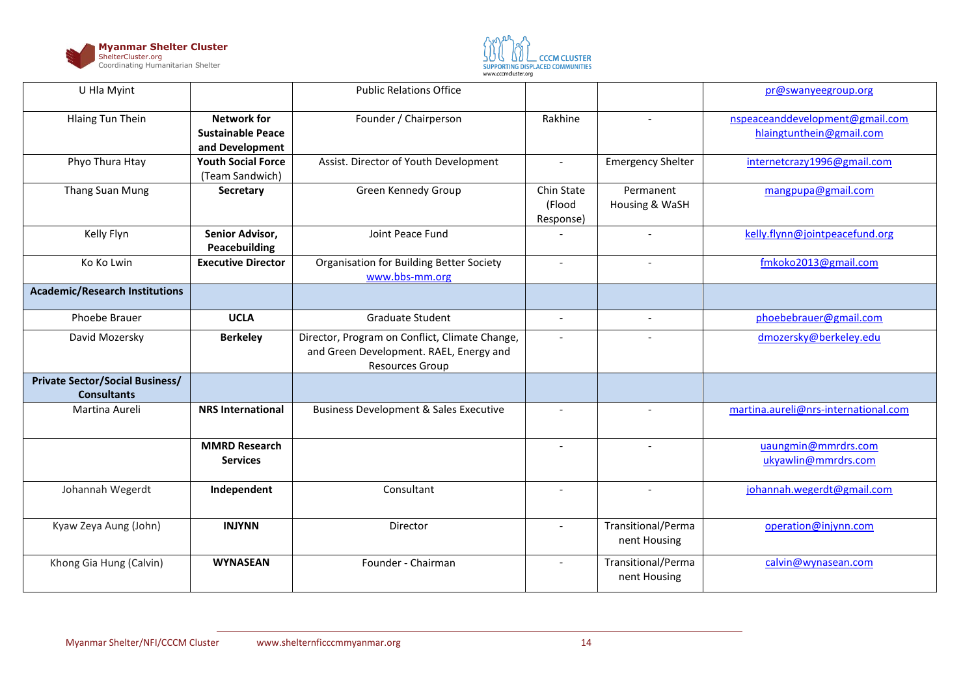



| U Hla Myint                                                  |                                                                   | <b>Public Relations Office</b>                                                                                      |                                   |                                    | pr@swanyeegroup.org                                         |
|--------------------------------------------------------------|-------------------------------------------------------------------|---------------------------------------------------------------------------------------------------------------------|-----------------------------------|------------------------------------|-------------------------------------------------------------|
| <b>Hlaing Tun Thein</b>                                      | <b>Network for</b><br><b>Sustainable Peace</b><br>and Development | Founder / Chairperson                                                                                               | Rakhine                           |                                    | nspeaceanddevelopment@gmail.com<br>hlaingtunthein@gmail.com |
| Phyo Thura Htay                                              | <b>Youth Social Force</b><br>(Team Sandwich)                      | Assist. Director of Youth Development                                                                               | $\overline{\phantom{a}}$          | <b>Emergency Shelter</b>           | internetcrazy1996@gmail.com                                 |
| Thang Suan Mung                                              | Secretary                                                         | Green Kennedy Group                                                                                                 | Chin State<br>(Flood<br>Response) | Permanent<br>Housing & WaSH        | mangpupa@gmail.com                                          |
| Kelly Flyn                                                   | Senior Advisor,<br>Peacebuilding                                  | Joint Peace Fund                                                                                                    |                                   | $\overline{\phantom{a}}$           | kelly.flynn@jointpeacefund.org                              |
| Ko Ko Lwin                                                   | <b>Executive Director</b>                                         | Organisation for Building Better Society<br>www.bbs-mm.org                                                          | $\overline{\phantom{a}}$          | $\sim$                             | fmkoko2013@gmail.com                                        |
| <b>Academic/Research Institutions</b>                        |                                                                   |                                                                                                                     |                                   |                                    |                                                             |
| Phoebe Brauer                                                | <b>UCLA</b>                                                       | <b>Graduate Student</b>                                                                                             | $\overline{\phantom{a}}$          | $\blacksquare$                     | phoebebrauer@gmail.com                                      |
| David Mozersky                                               | <b>Berkeley</b>                                                   | Director, Program on Conflict, Climate Change,<br>and Green Development. RAEL, Energy and<br><b>Resources Group</b> | $\overline{\phantom{a}}$          |                                    | dmozersky@berkeley.edu                                      |
| <b>Private Sector/Social Business/</b><br><b>Consultants</b> |                                                                   |                                                                                                                     |                                   |                                    |                                                             |
| Martina Aureli                                               | <b>NRS International</b>                                          | <b>Business Development &amp; Sales Executive</b>                                                                   |                                   |                                    | martina.aureli@nrs-international.com                        |
|                                                              | <b>MMRD Research</b><br><b>Services</b>                           |                                                                                                                     | $\overline{\phantom{a}}$          | $\sim$                             | uaungmin@mmrdrs.com<br>ukyawlin@mmrdrs.com                  |
| Johannah Wegerdt                                             | Independent                                                       | Consultant                                                                                                          | $\overline{a}$                    | $\sim$                             | johannah.wegerdt@gmail.com                                  |
| Kyaw Zeya Aung (John)                                        | <b>INJYNN</b>                                                     | Director                                                                                                            | $\overline{\phantom{a}}$          | Transitional/Perma<br>nent Housing | operation@injynn.com                                        |
| Khong Gia Hung (Calvin)                                      | <b>WYNASEAN</b>                                                   | Founder - Chairman                                                                                                  | $\overline{\phantom{a}}$          | Transitional/Perma<br>nent Housing | calvin@wynasean.com                                         |